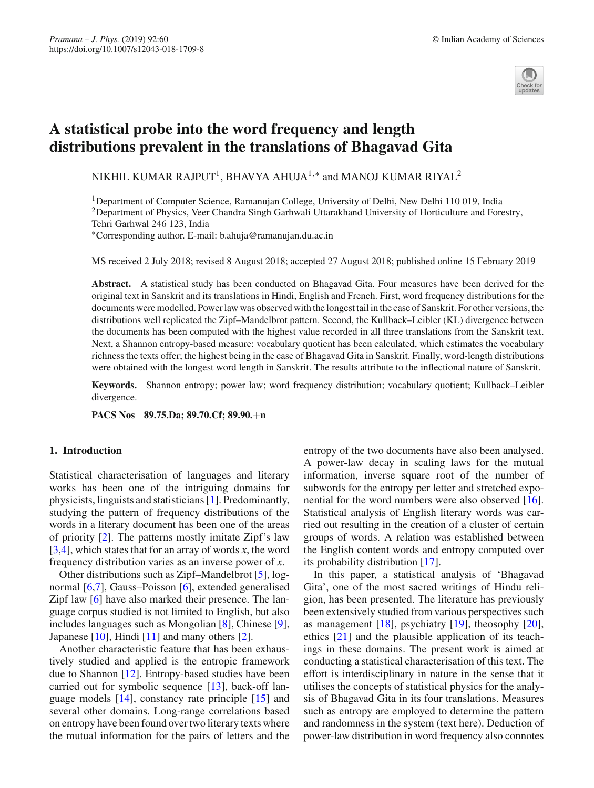

# **A statistical probe into the word frequency and length distributions prevalent in the translations of Bhagavad Gita**

NIKHIL KUMAR RAJPUT<sup>1</sup>, BHAVYA AHUJA<sup>1,∗</sup> and MANOJ KUMAR RIYAL<sup>2</sup>

1Department of Computer Science, Ramanujan College, University of Delhi, New Delhi 110 019, India <sup>2</sup>Department of Physics, Veer Chandra Singh Garhwali Uttarakhand University of Horticulture and Forestry, Tehri Garhwal 246 123, India

∗Corresponding author. E-mail: b.ahuja@ramanujan.du.ac.in

MS received 2 July 2018; revised 8 August 2018; accepted 27 August 2018; published online 15 February 2019

**Abstract.** A statistical study has been conducted on Bhagavad Gita. Four measures have been derived for the original text in Sanskrit and its translations in Hindi, English and French. First, word frequency distributions for the documents were modelled. Power law was observed with the longest tail in the case of Sanskrit. For other versions, the distributions well replicated the Zipf–Mandelbrot pattern. Second, the Kullback–Leibler (KL) divergence between the documents has been computed with the highest value recorded in all three translations from the Sanskrit text. Next, a Shannon entropy-based measure: vocabulary quotient has been calculated, which estimates the vocabulary richness the texts offer; the highest being in the case of Bhagavad Gita in Sanskrit. Finally, word-length distributions were obtained with the longest word length in Sanskrit. The results attribute to the inflectional nature of Sanskrit.

**Keywords.** Shannon entropy; power law; word frequency distribution; vocabulary quotient; Kullback–Leibler divergence.

**PACS Nos 89.75.Da; 89.70.Cf; 89.90.**+**n**

## **1. Introduction**

Statistical characterisation of languages and literary works has been one of the intriguing domains for physicists, linguists and statisticians [\[1\]](#page-5-0). Predominantly, studying the pattern of frequency distributions of the words in a literary document has been one of the areas of priority [\[2\]](#page-5-1). The patterns mostly imitate Zipf's law [ $3,4$ ], which states that for an array of words *x*, the word frequency distribution varies as an inverse power of *x*.

Other distributions such as Zipf–Mandelbrot [\[5](#page-5-4)], lognormal [\[6](#page-5-5)[,7\]](#page-5-6), Gauss–Poisson [\[6\]](#page-5-5), extended generalised Zipf law [\[6](#page-5-5)] have also marked their presence. The language corpus studied is not limited to English, but also includes languages such as Mongolian [\[8](#page-5-7)], Chinese [\[9](#page-5-8)], Japanese [\[10\]](#page-5-9), Hindi [\[11](#page-5-10)] and many others [\[2\]](#page-5-1).

Another characteristic feature that has been exhaustively studied and applied is the entropic framework due to Shannon [\[12](#page-5-11)]. Entropy-based studies have been carried out for symbolic sequence [\[13](#page-5-12)], back-off language models [\[14](#page-5-13)], constancy rate principle [\[15\]](#page-5-14) and several other domains. Long-range correlations based on entropy have been found over two literary texts where the mutual information for the pairs of letters and the entropy of the two documents have also been analysed. A power-law decay in scaling laws for the mutual information, inverse square root of the number of subwords for the entropy per letter and stretched exponential for the word numbers were also observed [\[16](#page-5-15)]. Statistical analysis of English literary words was carried out resulting in the creation of a cluster of certain groups of words. A relation was established between the English content words and entropy computed over its probability distribution [\[17](#page-5-16)].

In this paper, a statistical analysis of 'Bhagavad Gita', one of the most sacred writings of Hindu religion, has been presented. The literature has previously been extensively studied from various perspectives such as management [\[18\]](#page-5-17), psychiatry [\[19\]](#page-5-18), theosophy [\[20](#page-5-19)], ethics [\[21\]](#page-5-20) and the plausible application of its teachings in these domains. The present work is aimed at conducting a statistical characterisation of this text. The effort is interdisciplinary in nature in the sense that it utilises the concepts of statistical physics for the analysis of Bhagavad Gita in its four translations. Measures such as entropy are employed to determine the pattern and randomness in the system (text here). Deduction of power-law distribution in word frequency also connotes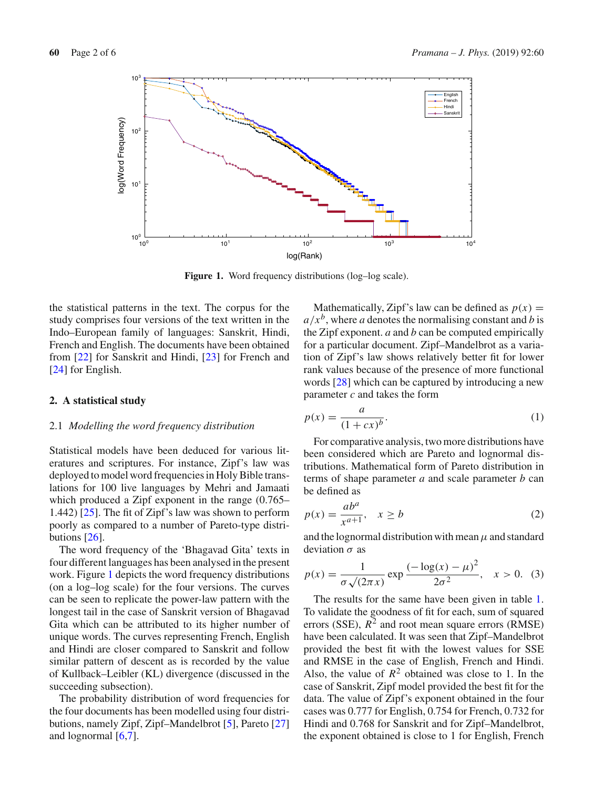

<span id="page-1-0"></span>**Figure 1.** Word frequency distributions (log–log scale).

the statistical patterns in the text. The corpus for the study comprises four versions of the text written in the Indo–European family of languages: Sanskrit, Hindi, French and English. The documents have been obtained from [\[22\]](#page-5-21) for Sanskrit and Hindi, [\[23](#page-5-22)] for French and [\[24](#page-5-23)] for English.

## **2. A statistical study**

### 2.1 *Modelling the word frequency distribution*

Statistical models have been deduced for various literatures and scriptures. For instance, Zipf's law was deployed to model word frequencies in Holy Bible translations for 100 live languages by Mehri and Jamaati which produced a Zipf exponent in the range (0.765– 1.442) [\[25\]](#page-5-24). The fit of Zipf's law was shown to perform poorly as compared to a number of Pareto-type distributions [\[26\]](#page-5-25).

The word frequency of the 'Bhagavad Gita' texts in four different languages has been analysed in the present work. Figure [1](#page-1-0) depicts the word frequency distributions (on a log–log scale) for the four versions. The curves can be seen to replicate the power-law pattern with the longest tail in the case of Sanskrit version of Bhagavad Gita which can be attributed to its higher number of unique words. The curves representing French, English and Hindi are closer compared to Sanskrit and follow similar pattern of descent as is recorded by the value of Kullback–Leibler (KL) divergence (discussed in the succeeding subsection).

The probability distribution of word frequencies for the four documents has been modelled using four distributions, namely Zipf, Zipf–Mandelbrot [\[5\]](#page-5-4), Pareto [\[27\]](#page-5-26) and lognormal  $[6,7]$  $[6,7]$  $[6,7]$ .

Mathematically, Zipf's law can be defined as  $p(x) =$  $a/x^b$ , where *a* denotes the normalising constant and *b* is the Zipf exponent. *a* and *b* can be computed empirically for a particular document. Zipf–Mandelbrot as a variation of Zipf's law shows relatively better fit for lower rank values because of the presence of more functional words [\[28](#page-5-27)] which can be captured by introducing a new parameter *c* and takes the form

$$
p(x) = \frac{a}{(1+cx)^b}.\tag{1}
$$

For comparative analysis, two more distributions have been considered which are Pareto and lognormal distributions. Mathematical form of Pareto distribution in terms of shape parameter *a* and scale parameter *b* can be defined as

$$
p(x) = \frac{ab^a}{x^{a+1}}, \quad x \ge b \tag{2}
$$

and the lognormal distribution with mean  $\mu$  and standard deviation  $\sigma$  as

$$
p(x) = \frac{1}{\sigma \sqrt{(2\pi x)}} \exp \frac{(-\log(x) - \mu)^2}{2\sigma^2}, \quad x > 0.
$$
 (3)

The results for the same have been given in table [1.](#page-2-0) To validate the goodness of fit for each, sum of squared errors (SSE),  $R^2$  and root mean square errors (RMSE) have been calculated. It was seen that Zipf–Mandelbrot provided the best fit with the lowest values for SSE and RMSE in the case of English, French and Hindi. Also, the value of  $R^2$  obtained was close to 1. In the case of Sanskrit, Zipf model provided the best fit for the data. The value of Zipf's exponent obtained in the four cases was 0.777 for English, 0.754 for French, 0.732 for Hindi and 0.768 for Sanskrit and for Zipf–Mandelbrot, the exponent obtained is close to 1 for English, French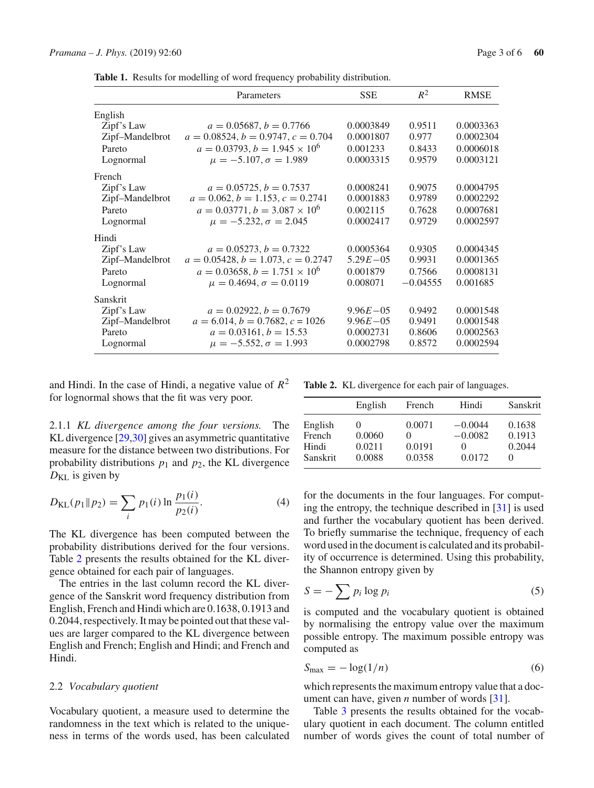<span id="page-2-0"></span>**Table 1.** Results for modelling of word frequency probability distribution.

|                 | Parameters                           | <b>SSE</b>   | $R^2$      | <b>RMSE</b> |
|-----------------|--------------------------------------|--------------|------------|-------------|
| English         |                                      |              |            |             |
| Zipf's Law      | $a = 0.05687, b = 0.7766$            | 0.0003849    | 0.9511     | 0.0003363   |
| Zipf-Mandelbrot | $a = 0.08524, b = 0.9747, c = 0.704$ | 0.0001807    | 0.977      | 0.0002304   |
| Pareto          | $a = 0.03793, b = 1.945 \times 10^6$ | 0.001233     | 0.8433     | 0.0006018   |
| Lognormal       | $\mu = -5.107$ , $\sigma = 1.989$    | 0.0003315    | 0.9579     | 0.0003121   |
| French          |                                      |              |            |             |
| Zipf's Law      | $a = 0.05725, b = 0.7537$            | 0.0008241    | 0.9075     | 0.0004795   |
| Zipf-Mandelbrot | $a = 0.062, b = 1.153, c = 0.2741$   | 0.0001883    | 0.9789     | 0.0002292   |
| Pareto          | $a = 0.03771, b = 3.087 \times 10^6$ | 0.002115     | 0.7628     | 0.0007681   |
| Lognormal       | $\mu = -5.232, \sigma = 2.045$       | 0.0002417    | 0.9729     | 0.0002597   |
| Hindi           |                                      |              |            |             |
| Zipf's Law      | $a = 0.05273, b = 0.7322$            | 0.0005364    | 0.9305     | 0.0004345   |
| Zipf-Mandelbrot | $a = 0.05428, b = 1.073, c = 0.2747$ | $5.29E - 05$ | 0.9931     | 0.0001365   |
| Pareto          | $a = 0.03658, b = 1.751 \times 10^6$ | 0.001879     | 0.7566     | 0.0008131   |
| Lognormal       | $\mu = 0.4694$ , $\sigma = 0.0119$   | 0.008071     | $-0.04555$ | 0.001685    |
| Sanskrit        |                                      |              |            |             |
| Zipf's Law      | $a = 0.02922, b = 0.7679$            | $9.96E - 05$ | 0.9492     | 0.0001548   |
| Zipf-Mandelbrot | $a = 6.014, b = 0.7682, c = 1026$    | $9.96E - 05$ | 0.9491     | 0.0001548   |
| Pareto          | $a = 0.03161, b = 15.53$             | 0.0002731    | 0.8606     | 0.0002563   |
| Lognormal       | $\mu = -5.552, \sigma = 1.993$       | 0.0002798    | 0.8572     | 0.0002594   |

and Hindi. In the case of Hindi, a negative value of  $R^2$ for lognormal shows that the fit was very poor.

<span id="page-2-1"></span>**Table 2.** KL divergence for each pair of languages.

| 2.1.1 KL divergence among the four versions. The              |  |
|---------------------------------------------------------------|--|
| KL divergence [29,30] gives an asymmetric quantitative        |  |
| measure for the distance between two distributions. For       |  |
| probability distributions $p_1$ and $p_2$ , the KL divergence |  |
| $D_{\text{KL}}$ is given by                                   |  |

$$
D_{\text{KL}}(p_1 \| p_2) = \sum_{i} p_1(i) \ln \frac{p_1(i)}{p_2(i)}.
$$
 (4)

The KL divergence has been computed between the probability distributions derived for the four versions. Table [2](#page-2-1) presents the results obtained for the KL divergence obtained for each pair of languages.

The entries in the last column record the KL divergence of the Sanskrit word frequency distribution from English, French and Hindi which are 0.1638, 0.1913 and 0.2044, respectively. It may be pointed out that these values are larger compared to the KL divergence between English and French; English and Hindi; and French and Hindi.

## 2.2 *Vocabulary quotient*

Vocabulary quotient, a measure used to determine the randomness in the text which is related to the uniqueness in terms of the words used, has been calculated

|          | English  | French | Hindi     | Sanskrit |
|----------|----------|--------|-----------|----------|
| English  | $\theta$ | 0.0071 | $-0.0044$ | 0.1638   |
| French   | 0.0060   |        | $-0.0082$ | 0.1913   |
| Hindi    | 0.0211   | 0.0191 | $\theta$  | 0.2044   |
| Sanskrit | 0.0088   | 0.0358 | 0.0172    | $\theta$ |

for the documents in the four languages. For computing the entropy, the technique described in [\[31\]](#page-5-30) is used and further the vocabulary quotient has been derived. To briefly summarise the technique, frequency of each word used in the document is calculated and its probability of occurrence is determined. Using this probability, the Shannon entropy given by

$$
S = -\sum p_i \log p_i \tag{5}
$$

is computed and the vocabulary quotient is obtained by normalising the entropy value over the maximum possible entropy. The maximum possible entropy was computed as

$$
S_{\text{max}} = -\log(1/n) \tag{6}
$$

which represents the maximum entropy value that a document can have, given *n* number of words [\[31\]](#page-5-30).

Table [3](#page-3-0) presents the results obtained for the vocabulary quotient in each document. The column entitled number of words gives the count of total number of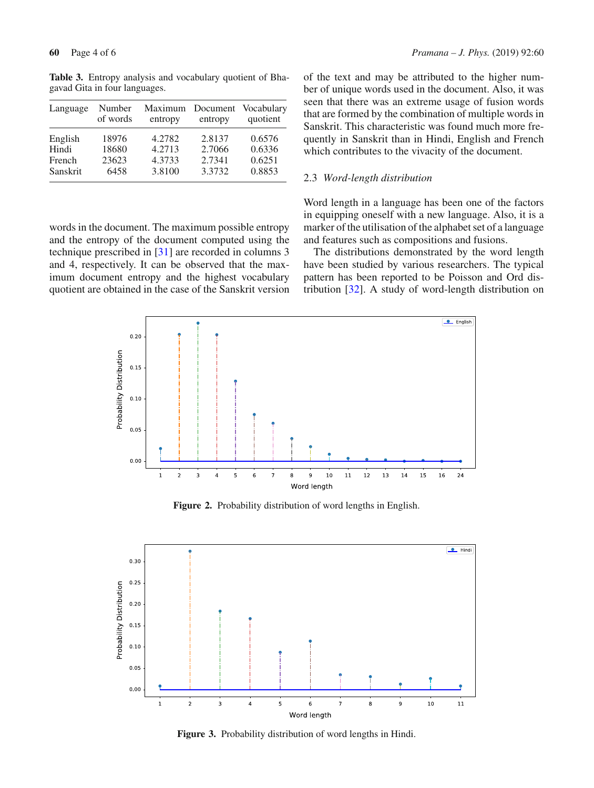| Language | Number   | Maximum | Document | Vocabulary |
|----------|----------|---------|----------|------------|
|          | of words | entropy | entropy  | quotient   |
| English  | 18976    | 4.2782  | 2.8137   | 0.6576     |
| Hindi    | 18680    | 4.2713  | 2.7066   | 0.6336     |
| French   | 23623    | 4.3733  | 2.7341   | 0.6251     |
| Sanskrit | 6458     | 3.8100  | 3.3732   | 0.8853     |

<span id="page-3-0"></span>**Table 3.** Entropy analysis and vocabulary quotient of Bhagavad Gita in four languages.

words in the document. The maximum possible entropy and the entropy of the document computed using the technique prescribed in [\[31\]](#page-5-30) are recorded in columns 3 and 4, respectively. It can be observed that the maximum document entropy and the highest vocabulary quotient are obtained in the case of the Sanskrit version of the text and may be attributed to the higher number of unique words used in the document. Also, it was seen that there was an extreme usage of fusion words that are formed by the combination of multiple words in Sanskrit. This characteristic was found much more frequently in Sanskrit than in Hindi, English and French which contributes to the vivacity of the document.

# 2.3 *Word-length distribution*

Word length in a language has been one of the factors in equipping oneself with a new language. Also, it is a marker of the utilisation of the alphabet set of a language and features such as compositions and fusions.

The distributions demonstrated by the word length have been studied by various researchers. The typical pattern has been reported to be Poisson and Ord distribution [\[32\]](#page-5-31). A study of word-length distribution on



<span id="page-3-1"></span>**Figure 2.** Probability distribution of word lengths in English.



**Figure 3.** Probability distribution of word lengths in Hindi.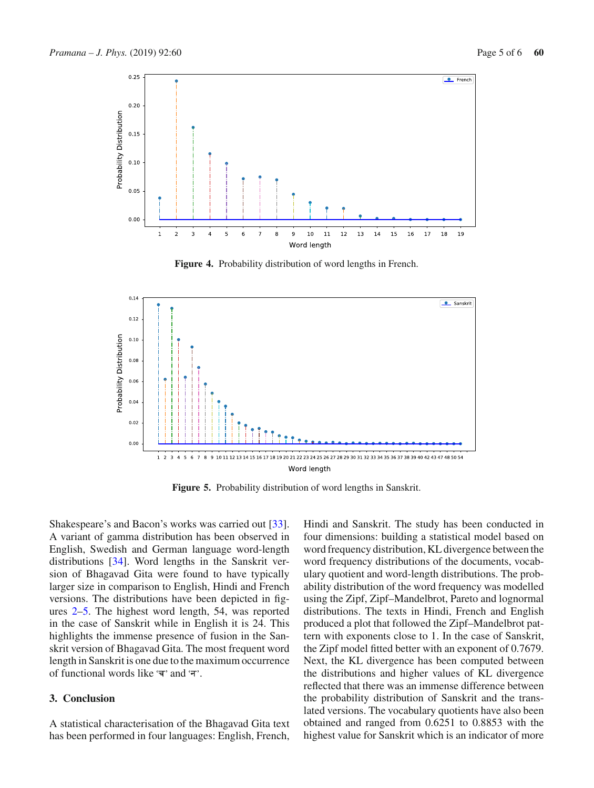

**Figure 4.** Probability distribution of word lengths in French.



<span id="page-4-0"></span>**Figure 5.** Probability distribution of word lengths in Sanskrit.

Shakespeare's and Bacon's works was carried out [\[33](#page-5-32)]. A variant of gamma distribution has been observed in English, Swedish and German language word-length distributions [\[34\]](#page-5-33). Word lengths in the Sanskrit version of Bhagavad Gita were found to have typically larger size in comparison to English, Hindi and French versions. The distributions have been depicted in figures [2–](#page-3-1)[5.](#page-4-0) The highest word length, 54, was reported in the case of Sanskrit while in English it is 24. This highlights the immense presence of fusion in the Sanskrit version of Bhagavad Gita. The most frequent word length in Sanskrit is one due to the maximum occurrence of functional words like  $\overline{a}$  and  $\overline{a}$ .

#### **3. Conclusion**

A statistical characterisation of the Bhagavad Gita text has been performed in four languages: English, French,

Hindi and Sanskrit. The study has been conducted in four dimensions: building a statistical model based on word frequency distribution, KL divergence between the word frequency distributions of the documents, vocabulary quotient and word-length distributions. The probability distribution of the word frequency was modelled using the Zipf, Zipf–Mandelbrot, Pareto and lognormal distributions. The texts in Hindi, French and English produced a plot that followed the Zipf–Mandelbrot pattern with exponents close to 1. In the case of Sanskrit, the Zipf model fitted better with an exponent of 0.7679. Next, the KL divergence has been computed between the distributions and higher values of KL divergence reflected that there was an immense difference between the probability distribution of Sanskrit and the translated versions. The vocabulary quotients have also been obtained and ranged from 0.6251 to 0.8853 with the highest value for Sanskrit which is an indicator of more